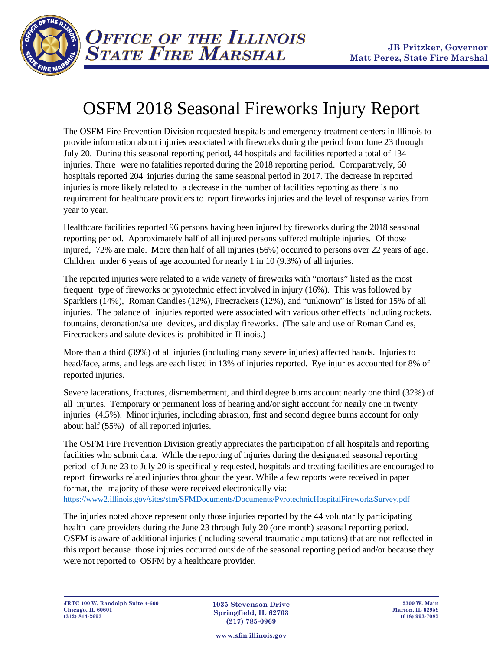

## OSFM 2018 Seasonal Fireworks Injury Report

The OSFM Fire Prevention Division requested hospitals and emergency treatment centers in Illinois to provide information about injuries associated with fireworks during the period from June 23 through July 20. During this seasonal reporting period, 44 hospitals and facilities reported a total of 134 injuries. There were no fatalities reported during the 2018 reporting period. Comparatively, 60 hospitals reported 204 injuries during the same seasonal period in 2017. The decrease in reported injuries is more likely related to a decrease in the number of facilities reporting as there is no requirement for healthcare providers to report fireworks injuries and the level of response varies from year to year.

Healthcare facilities reported 96 persons having been injured by fireworks during the 2018 seasonal reporting period. Approximately half of all injured persons suffered multiple injuries. Of those injured, 72% are male. More than half of all injuries (56%) occurred to persons over 22 years of age. Children under 6 years of age accounted for nearly 1 in 10 (9.3%) of all injuries.

The reported injuries were related to a wide variety of fireworks with "mortars" listed as the most frequent type of fireworks or pyrotechnic effect involved in injury (16%). This was followed by Sparklers (14%), Roman Candles (12%), Firecrackers (12%), and "unknown" is listed for 15% of all injuries. The balance of injuries reported were associated with various other effects including rockets, fountains, detonation/salute devices, and display fireworks. (The sale and use of Roman Candles, Firecrackers and salute devices is prohibited in Illinois.)

More than a third (39%) of all injuries (including many severe injuries) affected hands. Injuries to head/face, arms, and legs are each listed in 13% of injuries reported. Eye injuries accounted for 8% of reported injuries.

Severe lacerations, fractures, dismemberment, and third degree burns account nearly one third (32%) of all injuries. Temporary or permanent loss of hearing and/or sight account for nearly one in twenty injuries (4.5%). Minor injuries, including abrasion, first and second degree burns account for only about half (55%) of all reported injuries.

The OSFM Fire Prevention Division greatly appreciates the participation of all hospitals and reporting facilities who submit data. While the reporting of injuries during the designated seasonal reporting period of June 23 to July 20 is specifically requested, hospitals and treating facilities are encouraged to report fireworks related injuries throughout the year. While a few reports were received in paper format, the majority of these were received electronically via: <https://www2.illinois.gov/sites/sfm/SFMDocuments/Documents/PyrotechnicHospitalFireworksSurvey.pdf>

The injuries noted above represent only those injuries reported by the 44 voluntarily participating health care providers during the June 23 through July 20 (one month) seasonal reporting period. OSFM is aware of additional injuries (including several traumatic amputations) that are not reflected in this report because those injuries occurred outside of the seasonal reporting period and/or because they were not reported to OSFM by a healthcare provider.

**www.sfm.illinois.gov**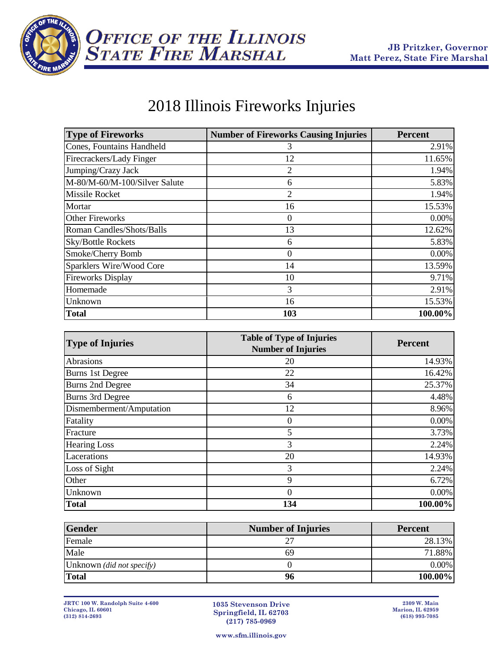

## 2018 Illinois Fireworks Injuries

| <b>Type of Fireworks</b>      | <b>Number of Fireworks Causing Injuries</b> | <b>Percent</b> |
|-------------------------------|---------------------------------------------|----------------|
| Cones, Fountains Handheld     | 3                                           | 2.91%          |
| Firecrackers/Lady Finger      | 12                                          | 11.65%         |
| Jumping/Crazy Jack            | 2                                           | 1.94%          |
| M-80/M-60/M-100/Silver Salute | 6                                           | 5.83%          |
| <b>Missile Rocket</b>         | 2                                           | 1.94%          |
| Mortar                        | 16                                          | 15.53%         |
| <b>Other Fireworks</b>        | 0                                           | $0.00\%$       |
| Roman Candles/Shots/Balls     | 13                                          | 12.62%         |
| <b>Sky/Bottle Rockets</b>     | 6                                           | 5.83%          |
| Smoke/Cherry Bomb             | 0                                           | $0.00\%$       |
| Sparklers Wire/Wood Core      | 14                                          | 13.59%         |
| <b>Fireworks Display</b>      | 10                                          | 9.71%          |
| Homemade                      | 3                                           | 2.91%          |
| Unknown                       | 16                                          | 15.53%         |
| <b>Total</b>                  | 103                                         | 100.00%        |

| <b>Type of Injuries</b>  | <b>Table of Type of Injuries</b><br><b>Number of Injuries</b> | <b>Percent</b> |
|--------------------------|---------------------------------------------------------------|----------------|
| Abrasions                | 20                                                            | 14.93%         |
| <b>Burns 1st Degree</b>  | 22                                                            | 16.42%         |
| <b>Burns 2nd Degree</b>  | 34                                                            | 25.37%         |
| <b>Burns 3rd Degree</b>  | 6                                                             | 4.48%          |
| Dismemberment/Amputation | 12                                                            | 8.96%          |
| Fatality                 | 0                                                             | 0.00%          |
| Fracture                 | 5                                                             | 3.73%          |
| <b>Hearing Loss</b>      | 3                                                             | 2.24%          |
| Lacerations              | 20                                                            | 14.93%         |
| Loss of Sight            | 3                                                             | 2.24%          |
| Other                    | 9                                                             | 6.72%          |
| Unknown                  | 0                                                             | 0.00%          |
| <b>Total</b>             | 134                                                           | 100.00%        |

| <b>Gender</b>             | <b>Number of Injuries</b> | <b>Percent</b> |
|---------------------------|---------------------------|----------------|
| Female                    |                           | 28.13%         |
| Male                      | 69                        | 71.88%         |
| Unknown (did not specify) |                           | 0.00%          |
| <b>Total</b>              | 96                        | 100.00%        |

**1035 Stevenson Drive Springfield, IL 62703 (217) 785-0969**